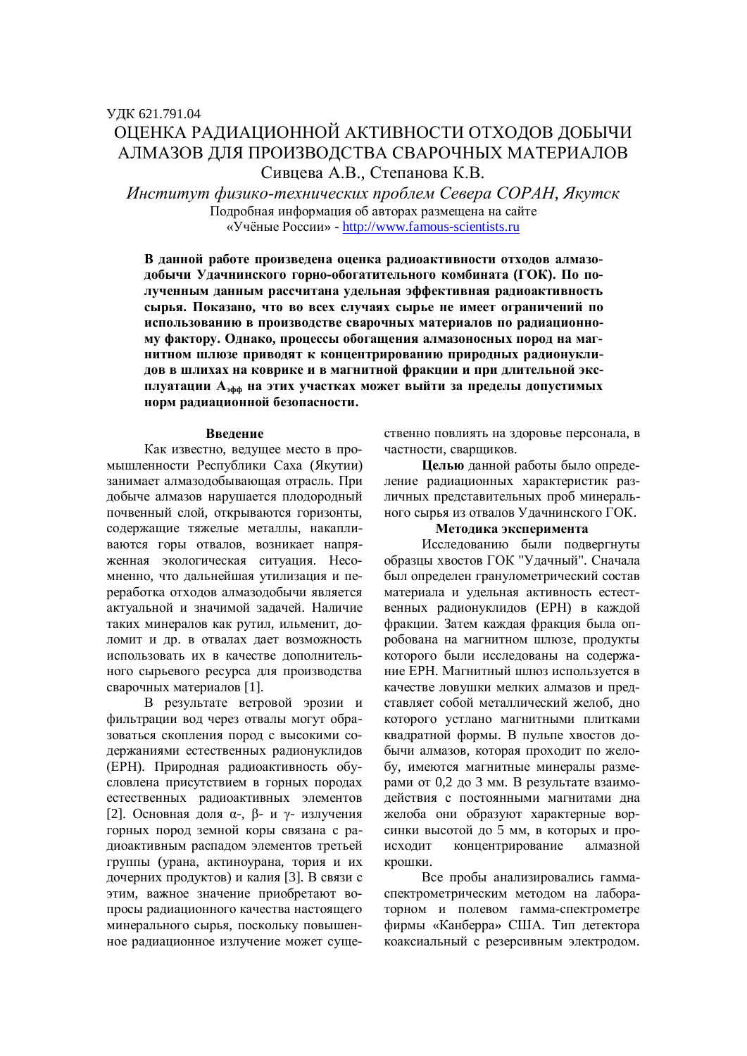# ОПЕНКА РАЛИАПИОННОЙ АКТИВНОСТИ ОТХОЛОВ ЛОБЫЧИ АЛМАЗОВ ДЛЯ ПРОИЗВОДСТВА СВАРОЧНЫХ МАТЕРИАЛОВ Сивцева А.В., Степанова К.В.

 $H$ нститут физико-технических проблем Севера СОРАН, Якутск Подробная информация об авторах размещена на сайте «Учёные России» - http://www.famous-scientists.ru

В данной работе произведена оценка радиоактивности отходов алмазодобычи Удачнинского горно-обогатительного комбината (ГОК). По полученным данным рассчитана удельная эффективная радиоактивность сырья. Показано, что во всех случаях сырье не имеет ограничений по использованию в производстве сварочных материалов по радиационному фактору. Однако, процессы обогащения алмазоносных пород на маг-**НИТНОМ ШЛЮЗЕ ПРИВОДЯТ К КОНЦЕНТРИРОВАНИЮ ПРИРОДНЫХ РАДИОНУКЛИ**дов в шлихах на коврике и в магнитной фракции и при длительной эксплуатации А<sub>зфф</sub> на этих участках может выйти за пределы допустимых **норм радиационной безопасности.** 

#### **Ввеление**

Как известно, велушее место в промышленности Республики Саха (Якутии) занимает алмазодобывающая отрасль. При добыче алмазов нарушается плодородный почвенный слой, открываются горизонты, содержащие тяжелые металлы, накапливаются горы отвалов, возникает напряженная экологическая ситуация. Несомненно, что дальнейшая утилизация и переработка отходов алмазодобычи является актуальной и значимой задачей. Наличие таких минералов как рутил, ильменит, доломит и др. в отвалах дает возможность использовать их в качестве дополнительного сырьевого ресурса для производства сварочных материалов [1].

В результате ветровой эрозии и фильтрации вод через отвалы могут образоваться скопления пород с высокими содержаниями естественных радионуклидов (ЕРН). Природная радиоактивность обусловлена присутствием в горных породах естественных радиоактивных элементов [2]. Основная доля  $\alpha$ -,  $\beta$ - и  $\gamma$ - излучения горных пород земной коры связана с радиоактивным распадом элементов третьей группы (урана, актиноурана, тория и их дочерних продуктов) и калия [3]. В связи с этим, важное значение приобретают вопросы радиационного качества настоящего минерального сырья, поскольку повышенное радиационное излучение может существенно повлиять на здоровье персонала, в частности, сваршиков.

**Шелью** данной работы было определение радиационных характеристик различных представительных проб минерального сырья из отвалов Удачнинского ГОК.

### Методика эксперимента

Исследованию были подвергнуты образцы хвостов ГОК "Удачный". Сначала был определен гранулометрический состав материала и удельная активность естественных радионуклидов (ЕРН) в каждой фракции. Затем каждая фракция была опробована на магнитном шлюзе, продукты которого были исследованы на содержание ЕРН. Магнитный шлюз используется в качестве ловушки мелких алмазов и представляет собой металлический желоб, дно которого устлано магнитными плитками квадратной формы. В пульпе хвостов добычи алмазов, которая проходит по желобу, имеются магнитные минералы размерами от 0,2 до 3 мм. В результате взаимодействия с постоянными магнитами дна желоба они образуют характерные ворсинки высотой до 5 мм, в которых и происходит концентрирование алмазной крошки.

Все пробы анализировались гаммаспектрометрическим методом на лабораторном и полевом гамма-спектрометре фирмы «Канберра» США. Тип детектора коаксиальный с резерсивным электродом.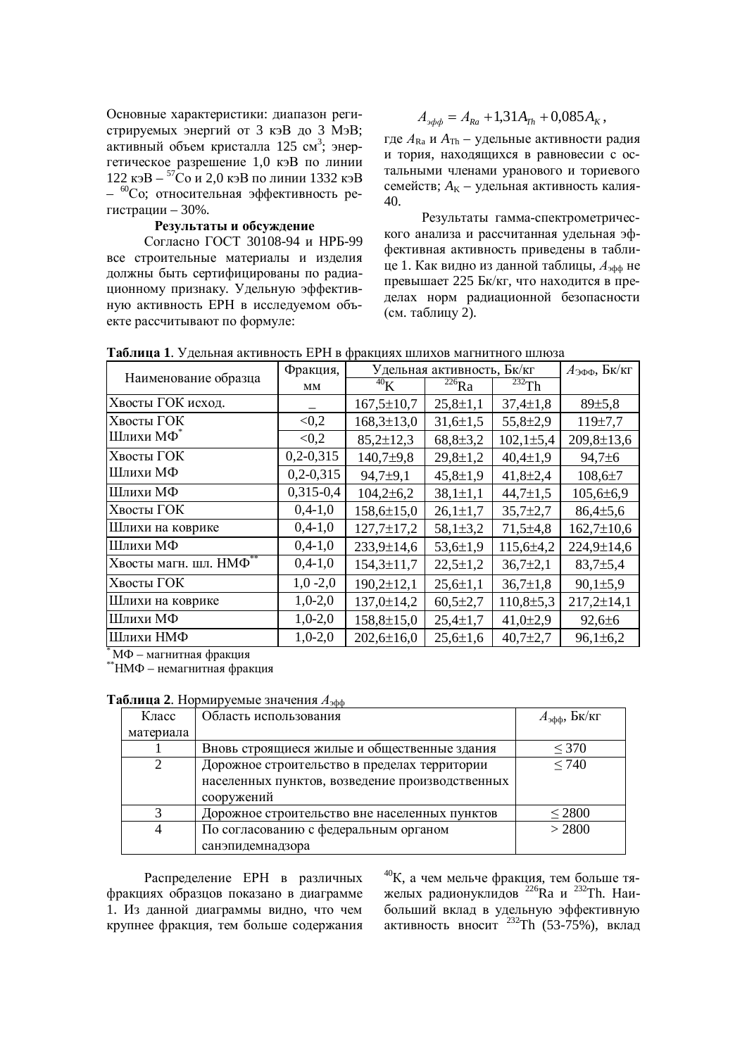Основные характеристики: диапазон регистрируемых энергий от 3 кэВ до 3 МэВ; активный объем кристалла 125 см<sup>3</sup>; энертетическое разрешение 1,0 кэВ по линии 122 кэ $B - {^{57}C}$ о и 2,0 кэ $B$  по линии 1332 кэ $B$ – <sup>60</sup>Со; относительная эффективность регистрации – 30%.

#### Результаты и обсуждение

Согласно ГОСТ 30108-94 и НРБ-99 все строительные материалы и изделия должны быть сертифицированы по радиационному признаку. Удельную эффективную активность ЕРН в исследуемом объекте рассчитывают по формуле:

$$
A_{\nu\phi\phi} = A_{Ra} + 1{,}31A_{Th} + 0{,}085A_{K},
$$

где  $A_{\text{Ra}}$  и  $A_{\text{Th}}$  – удельные активности радия и тория, находящихся в равновесии с остальными членами уранового и ториевого семейств;  $A_k$  – удельная активность калия-40.

Результаты гамма-спектрометрического анализа и рассчитанная удельная эффективная активность приведены в таблице 1. Как видно из данной таблицы,  $A_{\text{sub}}$  не превышает 225 Бк/кг, что находится в пределах норм радиационной безопасности (см. таблицу 2).

|                        | Фракция,    | Удельная активность, Бк/кг |                |                        | $A_{\partial \Phi \Phi}$ , Бк/кг |
|------------------------|-------------|----------------------------|----------------|------------------------|----------------------------------|
| Наименование образца   | MM          | 40 <sub>K</sub>            | $^{226}Ra$     | $\overline{^{232}}$ Th |                                  |
| Хвосты ГОК исход.      |             | $167,5 \pm 10,7$           | $25,8 \pm 1,1$ | $37,4 \pm 1,8$         | 89±5,8                           |
| Хвосты ГОК             | < 0, 2      | $168,3 \pm 13,0$           | $31,6 \pm 1,5$ | $55,8 \pm 2,9$         | 119±7,7                          |
| Шлихи МФ*              | < 0.2       | $85,2 \pm 12,3$            | $68,8{\pm}3,2$ | $102,1 \pm 5,4$        | 209,8±13,6                       |
| Хвосты ГОК             | $0,2-0,315$ | $140,7{\pm}9.8$            | $29,8 \pm 1,2$ | $40,4{\pm}1,9$         | 94,7±6                           |
| Шлихи МФ               | $0,2-0,315$ | $94,7{\pm}9,1$             | $45,8 \pm 1,9$ | $41,8 \pm 2,4$         | $108,6{\pm}7$                    |
| Шлихи МФ               | $0,315-0,4$ | $104,2{\pm}6,2$            | $38,1 \pm 1,1$ | $44,7 \pm 1,5$         | $105,6 \pm 6,9$                  |
| Хвосты ГОК             | $0,4-1,0$   | $158,6 \pm 15,0$           | $26,1 \pm 1,7$ | $35,7{\pm}2,7$         | $86,4{\pm}5,6$                   |
| Шлихи на коврике       | $0,4-1,0$   | $127,7 \pm 17,2$           | $58,1\pm3,2$   | $71,5+4,8$             | $162,7 \pm 10,6$                 |
| Шлихи МФ               | $0,4-1,0$   | 233,9±14,6                 | $53,6{\pm}1,9$ | $115,6\pm4,2$          | 224,9±14,6                       |
| Хвосты магн. шл. НМФ** | $0,4-1,0$   | $154,3 \pm 11,7$           | $22,5 \pm 1,2$ | $36,7{\pm}2,1$         | $83,7{\pm}5,4$                   |
| Хвосты ГОК             | $1,0 - 2,0$ | $190,2 \pm 12,1$           | $25,6 \pm 1,1$ | $36,7{\pm}1,8$         | $90,1{\pm}5.9$                   |
| Шлихи на коврике       | $1,0-2,0$   | $137,0 \pm 14,2$           | $60,5{\pm}2,7$ | $110,8{\pm}5,3$        | $217,2 \pm 14,1$                 |
| Шлихи МФ               | $1,0-2,0$   | $158,8 \pm 15,0$           | $25,4 \pm 1,7$ | $41,0{\pm}2,9$         | $92,6 \pm 6$                     |
| Шлихи НМФ              | $1,0-2,0$   | $202,6 \pm 16,0$           | $25,6{\pm}1,6$ | $40,7{\pm}2,7$         | $96,1\pm6,2$                     |

**Таблица 1.** Удельная активность ЕРН в фракциях шлихов магнитного шлюза

 $*$ МФ – магнитная фракция

 $*$   $*$  –  $*$   $*$  –  $*$   $*$  –  $*$   $*$  –  $*$   $*$  –  $*$   $*$  –  $*$   $*$  –  $*$   $*$  –  $*$   $*$  –  $*$   $*$  –  $*$   $*$  –  $*$   $*$  –  $*$   $*$  –  $*$   $*$  –  $*$   $*$  –  $*$   $*$  –  $*$   $*$  –  $*$   $*$  –  $*$   $*$  –  $*$   $*$  –  $*$   $*$  –  $*$   $*$  –

| Класс         | Область использования                           | $A_{\rm 300}$ , Бк/кг |
|---------------|-------------------------------------------------|-----------------------|
| материала     |                                                 |                       |
|               | Вновь строящиеся жилые и общественные здания    | $\leq 370$            |
| 2             | Дорожное строительство в пределах территории    | $\leq 740$            |
|               | населенных пунктов, возведение производственных |                       |
|               | сооружений                                      |                       |
| $\mathcal{R}$ | Дорожное строительство вне населенных пунктов   | $\leq 2800$           |
|               | По согласованию с федеральным органом           | > 2800                |
|               | санэпидемнадзора                                |                       |

**Таблица 2.** Нормируемые значения  $A_{\text{sub}}$ 

Распределение ЕРН в различных фракциях образцов показано в диаграмме 1. Из данной диаграммы видно, что чем крупнее фракция, тем больше содержания

 $^{40}$ К, а чем мельче фракция, тем больше тяжелых радионуклидов<sup>226</sup>Ra и <sup>232</sup>Th. Наибольший вклад в удельную эффективную активность вносит  $^{232}$ Th (53-75%), вклад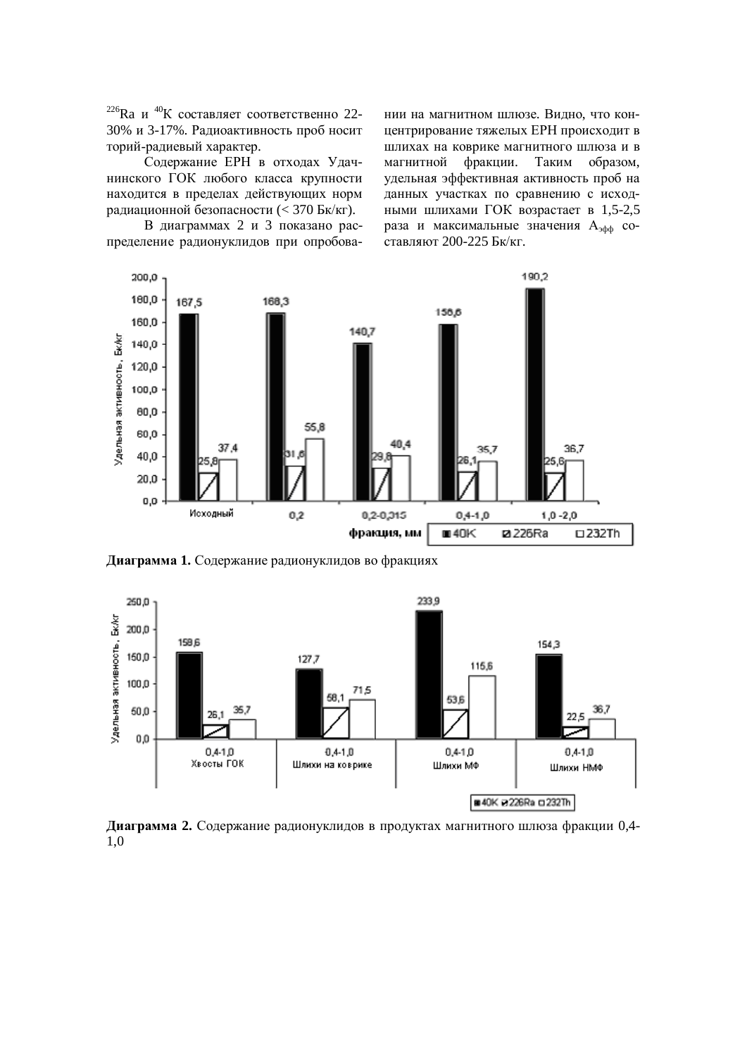$^{226}$ Ra и  $^{40}$ К составляет соответственно 22-30% и 3-17%. Радиоактивность проб носит торий-радиевый характер.

Содержание ЕРН в отходах Удачнинского ГОК любого класса крупности находится в пределах действующих норм радиационной безопасности (< 370 Бк/кг).

В диаграммах 2 и 3 показано распределение радионуклидов при опробовании на магнитном шлюзе. Видно, что концентрирование тяжелых ЕРН происходит в шлихах на коврике магнитного шлюза и в магнитной фракции. Таким образом, удельная эффективная активность проб на данных участках по сравнению с исходными шлихами ГОК возрастает в 1,5-2,5 раза и максимальные значения А<sub>зфф</sub> составляют 200-225 Бк/кг.



Диаграмма 1. Содержание радионуклидов во фракциях



**Диаграмма 2.** Содержание радионуклидов в продуктах магнитного шлюза фракции 0,4-1,0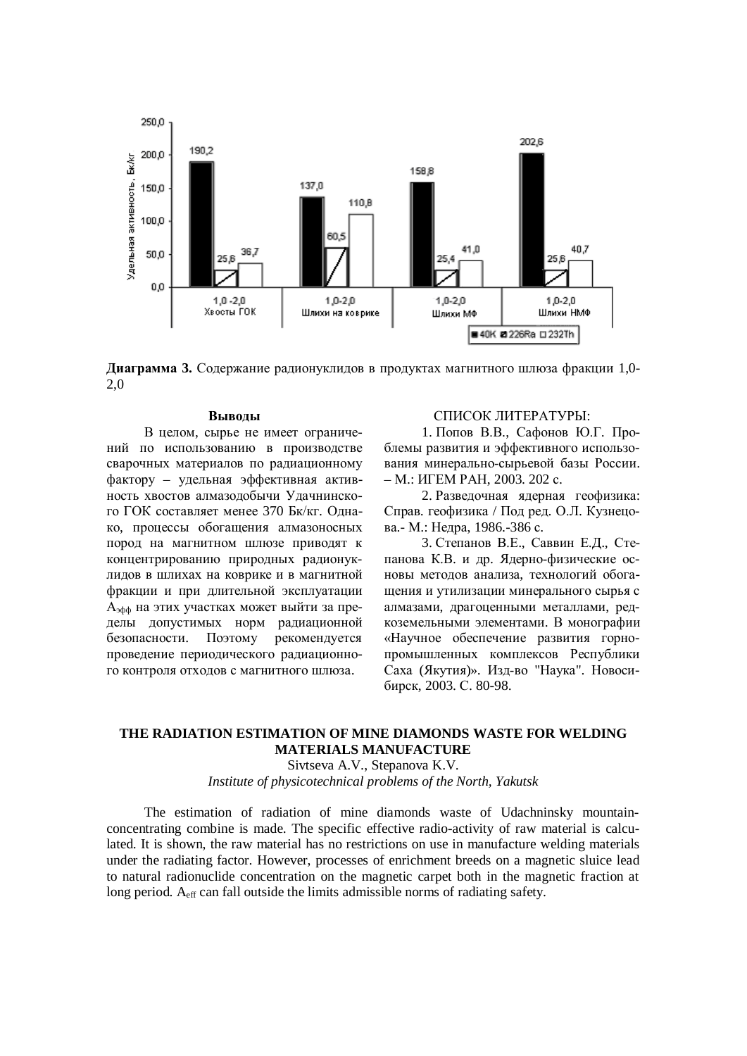

**Диаграмма 3.** Содержание радионуклидов в продуктах магнитного шлюза фракции 1,0-2,0

#### **Выводы**

В целом, сырье не имеет ограничений по использованию в производстве сварочных материалов по радиационному фактору – удельная эффективная активность хвостов алмазодобычи Удачнинского ГОК составляет менее 370 Бк/кг. Однако, процессы обогащения алмазоносных пород на магнитном шлюзе приводят к концентрированию природных радионуклидов в шлихах на коврике и в магнитной фракции и при длительной эксплуатации А<sub>зфф</sub> на этих участках может выйти за пределы допустимых норм радиационной безопасности. Поэтому рекомендуется проведение периодического радиационного контроля отходов с магнитного шлюза.

#### СПИСОК ЛИТЕРАТУРЫ:

1. Попов В.В., Сафонов Ю.Г. Проблемы развития и эффективного использования минерально-сырьевой базы России. – M.: ИГЕМ РАН, 2003. 202 с.

2. Разведочная ядерная геофизика: Справ. геофизика / Под ред. О.Л. Кузнецова.- М.: Недра, 1986.-386 с.

3. Степанов В.Е., Саввин Е.Л., Степанова К.В. и др. Ядерно-физические основы методов анализа, технологий обогащения и утилизации минерального сырья с алмазами, драгоценными металлами, редкоземельными элементами. В монографии «Научное обеспечение развития горнопромышленных комплексов Республики Саха (Якутия)». Изд-во "Наука". Новосибирск, 2003. С. 80-98.

## **THE RADIATION ESTIMATION OF MINE DIAMONDS WASTE FOR WELDING MATERIALS MANUFACTURE**

Sivtseva A.V., Stepanova K.V.

*Institute of physicotechnical problems of the North, Yakutsk* 

The estimation of radiation of mine diamonds waste of Udachninsky mountainconcentrating combine is made. The specific effective radio-activity of raw material is calculated. It is shown, the raw material has no restrictions on use in manufacture welding materials under the radiating factor. However, processes of enrichment breeds on a magnetic sluice lead to natural radionuclide concentration on the magnetic carpet both in the magnetic fraction at long period. A<sub>eff</sub> can fall outside the limits admissible norms of radiating safety.